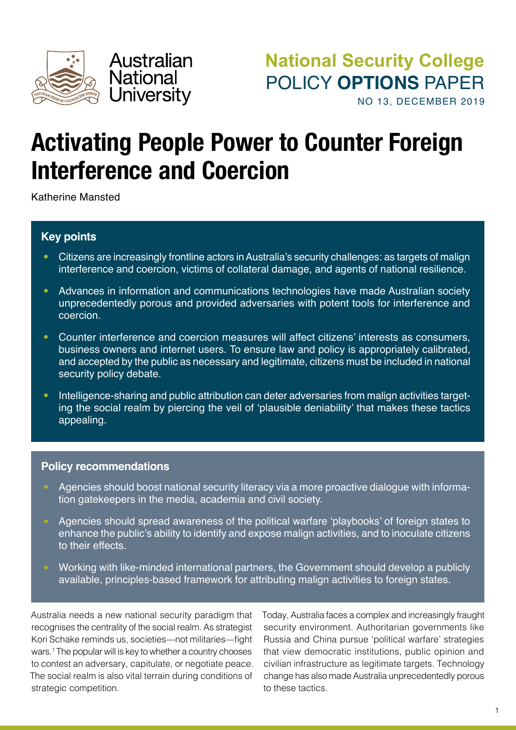

# **Activating People Power to Counter Foreign Interference and Coercion**

Katherine Mansted

# **Key points**

- **•** Citizens are increasingly frontline actors in Australia's security challenges: as targets of malign interference and coercion, victims of collateral damage, and agents of national resilience.
- **•** Advances in information and communications technologies have made Australian society unprecedentedly porous and provided adversaries with potent tools for interference and coercion.
- **•** Counter interference and coercion measures will affect citizens' interests as consumers, business owners and internet users. To ensure law and policy is appropriately calibrated, and accepted by the public as necessary and legitimate, citizens must be included in national security policy debate.
- Intelligence-sharing and public attribution can deter adversaries from malign activities targeting the social realm by piercing the veil of 'plausible deniability' that makes these tactics appealing.

### **Policy recommendations**

- **•** Agencies should boost national security literacy via a more proactive dialogue with information gatekeepers in the media, academia and civil society.
- **•** Agencies should spread awareness of the political warfare 'playbooks' of foreign states to enhance the public's ability to identify and expose malign activities, and to inoculate citizens to their effects.
- **•** Working with like-minded international partners, the Government should develop a publicly available, principles-based framework for attributing malign activities to foreign states.

Australia needs a new national security paradigm that recognises the centrality of the social realm. As strategist Kori Schake reminds us, societies—not militaries—fight wars.1 The popular will is key to whether a country chooses to contest an adversary, capitulate, or negotiate peace. The social realm is also vital terrain during conditions of strategic competition.

Today, Australia faces a complex and increasingly fraught security environment. Authoritarian governments like Russia and China pursue 'political warfare' strategies that view democratic institutions, public opinion and civilian infrastructure as legitimate targets. Technology change has also made Australia unprecedentedly porous to these tactics.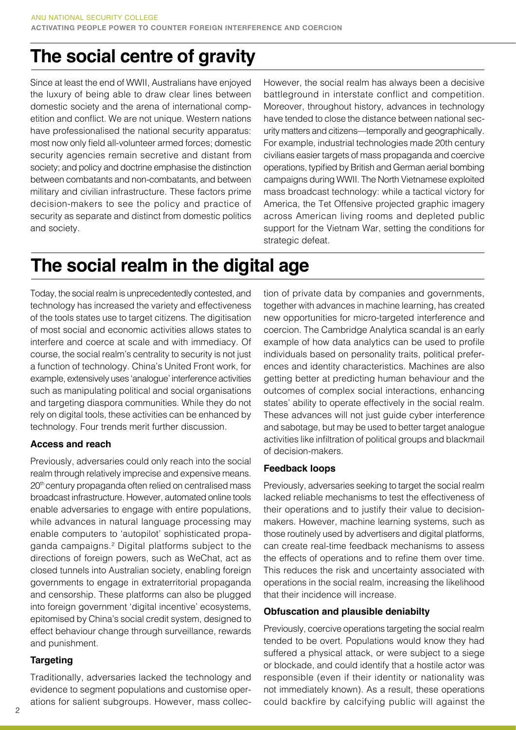# **The social centre of gravity**

Since at least the end of WWII, Australians have enjoyed the luxury of being able to draw clear lines between domestic society and the arena of international competition and conflict. We are not unique. Western nations have professionalised the national security apparatus: most now only field all-volunteer armed forces; domestic security agencies remain secretive and distant from society; and policy and doctrine emphasise the distinction between combatants and non-combatants, and between military and civilian infrastructure. These factors prime decision-makers to see the policy and practice of security as separate and distinct from domestic politics and society.

However, the social realm has always been a decisive battleground in interstate conflict and competition. Moreover, throughout history, advances in technology have tended to close the distance between national security matters and citizens—temporally and geographically. For example, industrial technologies made 20th century civilians easier targets of mass propaganda and coercive operations, typified by British and German aerial bombing campaigns during WWII. The North Vietnamese exploited mass broadcast technology: while a tactical victory for America, the Tet Offensive projected graphic imagery across American living rooms and depleted public support for the Vietnam War, setting the conditions for strategic defeat.

# **The social realm in the digital age**

Today, the social realm is unprecedentedly contested, and technology has increased the variety and effectiveness of the tools states use to target citizens. The digitisation of most social and economic activities allows states to interfere and coerce at scale and with immediacy. Of course, the social realm's centrality to security is not just a function of technology. China's United Front work, for example, extensively uses 'analogue' interference activities such as manipulating political and social organisations and targeting diaspora communities. While they do not rely on digital tools, these activities can be enhanced by technology. Four trends merit further discussion.

#### **Access and reach**

Previously, adversaries could only reach into the social realm through relatively imprecise and expensive means. 20<sup>th</sup> century propaganda often relied on centralised mass broadcast infrastructure. However, automated online tools enable adversaries to engage with entire populations, while advances in natural language processing may enable computers to 'autopilot' sophisticated propaganda campaigns.2 Digital platforms subject to the directions of foreign powers, such as WeChat, act as closed tunnels into Australian society, enabling foreign governments to engage in extraterritorial propaganda and censorship. These platforms can also be plugged into foreign government 'digital incentive' ecosystems, epitomised by China's social credit system, designed to effect behaviour change through surveillance, rewards and punishment.

#### **Targeting**

Traditionally, adversaries lacked the technology and evidence to segment populations and customise operations for salient subgroups. However, mass collection of private data by companies and governments, together with advances in machine learning, has created new opportunities for micro-targeted interference and coercion. The Cambridge Analytica scandal is an early example of how data analytics can be used to profile individuals based on personality traits, political preferences and identity characteristics. Machines are also getting better at predicting human behaviour and the outcomes of complex social interactions, enhancing states' ability to operate effectively in the social realm. These advances will not just guide cyber interference and sabotage, but may be used to better target analogue activities like infiltration of political groups and blackmail of decision-makers.

#### **Feedback loops**

Previously, adversaries seeking to target the social realm lacked reliable mechanisms to test the effectiveness of their operations and to justify their value to decisionmakers. However, machine learning systems, such as those routinely used by advertisers and digital platforms, can create real-time feedback mechanisms to assess the effects of operations and to refine them over time. This reduces the risk and uncertainty associated with operations in the social realm, increasing the likelihood that their incidence will increase.

### **Obfuscation and plausible deniabilty**

Previously, coercive operations targeting the social realm tended to be overt. Populations would know they had suffered a physical attack, or were subject to a siege or blockade, and could identify that a hostile actor was responsible (even if their identity or nationality was not immediately known). As a result, these operations could backfire by calcifying public will against the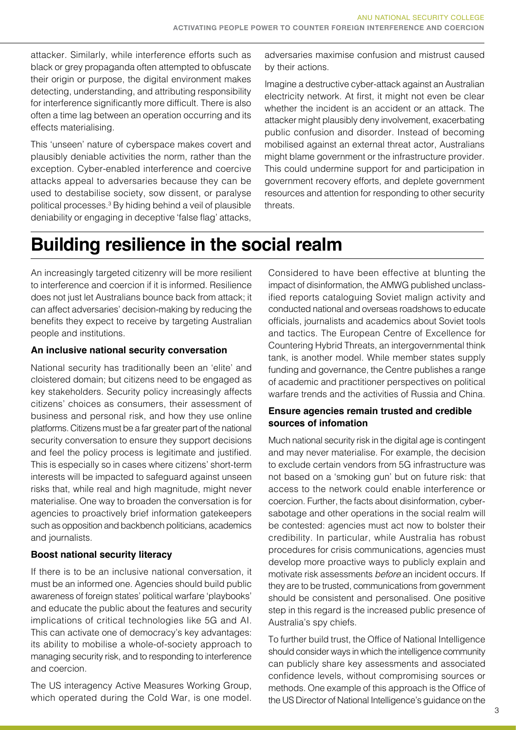attacker. Similarly, while interference efforts such as black or grey propaganda often attempted to obfuscate their origin or purpose, the digital environment makes detecting, understanding, and attributing responsibility for interference significantly more difficult. There is also often a time lag between an operation occurring and its effects materialising.

This 'unseen' nature of cyberspace makes covert and plausibly deniable activities the norm, rather than the exception. Cyber-enabled interference and coercive attacks appeal to adversaries because they can be used to destabilise society, sow dissent, or paralyse political processes.3 By hiding behind a veil of plausible deniability or engaging in deceptive 'false flag' attacks,

adversaries maximise confusion and mistrust caused by their actions.

Imagine a destructive cyber-attack against an Australian electricity network. At first, it might not even be clear whether the incident is an accident or an attack. The attacker might plausibly deny involvement, exacerbating public confusion and disorder. Instead of becoming mobilised against an external threat actor, Australians might blame government or the infrastructure provider. This could undermine support for and participation in government recovery efforts, and deplete government resources and attention for responding to other security threats.

# **Building resilience in the social realm**

An increasingly targeted citizenry will be more resilient to interference and coercion if it is informed. Resilience does not just let Australians bounce back from attack; it can affect adversaries' decision-making by reducing the benefits they expect to receive by targeting Australian people and institutions.

#### **An inclusive national security conversation**

National security has traditionally been an 'elite' and cloistered domain; but citizens need to be engaged as key stakeholders. Security policy increasingly affects citizens' choices as consumers, their assessment of business and personal risk, and how they use online platforms. Citizens must be a far greater part of the national security conversation to ensure they support decisions and feel the policy process is legitimate and justified. This is especially so in cases where citizens' short-term interests will be impacted to safeguard against unseen risks that, while real and high magnitude, might never materialise. One way to broaden the conversation is for agencies to proactively brief information gatekeepers such as opposition and backbench politicians, academics and journalists.

#### **Boost national security literacy**

If there is to be an inclusive national conversation, it must be an informed one. Agencies should build public awareness of foreign states' political warfare 'playbooks' and educate the public about the features and security implications of critical technologies like 5G and AI. This can activate one of democracy's key advantages: its ability to mobilise a whole-of-society approach to managing security risk, and to responding to interference and coercion.

The US interagency Active Measures Working Group, which operated during the Cold War, is one model. Considered to have been effective at blunting the impact of disinformation, the AMWG published unclassified reports cataloguing Soviet malign activity and conducted national and overseas roadshows to educate officials, journalists and academics about Soviet tools and tactics. The European Centre of Excellence for Countering Hybrid Threats, an intergovernmental think tank, is another model. While member states supply funding and governance, the Centre publishes a range of academic and practitioner perspectives on political warfare trends and the activities of Russia and China.

#### **Ensure agencies remain trusted and credible sources of infomation**

Much national security risk in the digital age is contingent and may never materialise. For example, the decision to exclude certain vendors from 5G infrastructure was not based on a 'smoking gun' but on future risk: that access to the network could enable interference or coercion. Further, the facts about disinformation, cybersabotage and other operations in the social realm will be contested: agencies must act now to bolster their credibility. In particular, while Australia has robust procedures for crisis communications, agencies must develop more proactive ways to publicly explain and motivate risk assessments *before* an incident occurs. If they are to be trusted, communications from government should be consistent and personalised. One positive step in this regard is the increased public presence of Australia's spy chiefs.

To further build trust, the Office of National Intelligence should consider ways in which the intelligence community can publicly share key assessments and associated confidence levels, without compromising sources or methods. One example of this approach is the Office of the US Director of National Intelligence's guidance on the